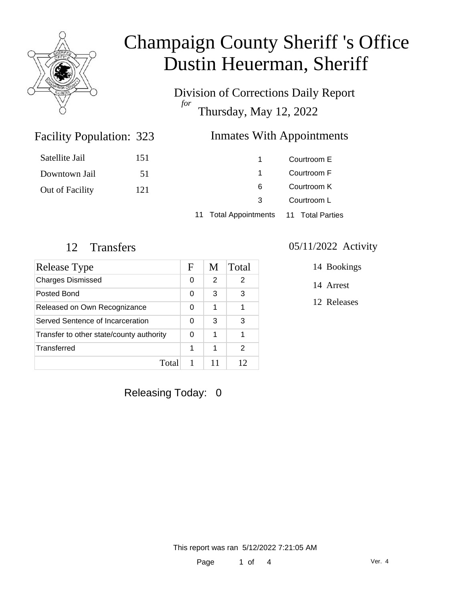

Division of Corrections Daily Report *for* Thursday, May 12, 2022

### Inmates With Appointments

| Satellite Jail  | 151 |   | Courtroom E |
|-----------------|-----|---|-------------|
| Downtown Jail   | 51  |   | Courtroom F |
| Out of Facility | 121 | 6 | Courtroom K |
|                 |     | 3 | Courtroom L |
|                 |     |   |             |

11 Total Appointments 11 Total Parties

Facility Population: 323

| Release Type                             | F | M  | Total |
|------------------------------------------|---|----|-------|
| <b>Charges Dismissed</b>                 | 0 | 2  | 2     |
| Posted Bond                              | 0 | 3  | 3     |
| Released on Own Recognizance             | 0 | 1  | 1     |
| Served Sentence of Incarceration         | 0 | 3  | 3     |
| Transfer to other state/county authority |   | 1  | 1     |
| Transferred                              | 1 | 1  | 2     |
| Total                                    |   | 11 | 12    |

12 Transfers 05/11/2022 Activity

14 Bookings

14 Arrest

12 Releases

Releasing Today: 0

This report was ran 5/12/2022 7:21:05 AM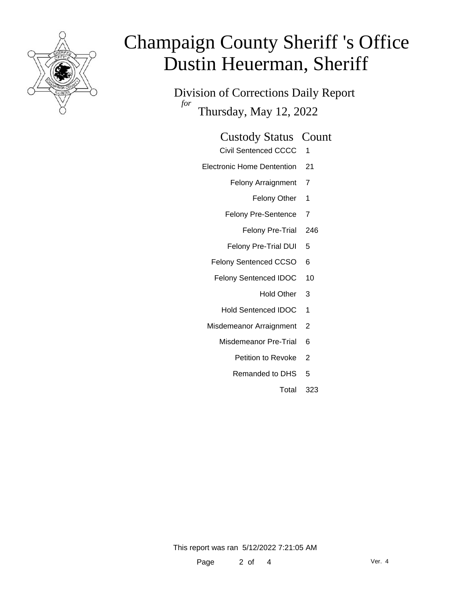

Division of Corrections Daily Report *for* Thursday, May 12, 2022

#### Custody Status Count

- Civil Sentenced CCCC 1
- Electronic Home Dentention 21
	- Felony Arraignment 7
		- Felony Other 1
	- Felony Pre-Sentence 7
		- Felony Pre-Trial 246
	- Felony Pre-Trial DUI 5
	- Felony Sentenced CCSO 6
	- Felony Sentenced IDOC 10
		- Hold Other 3
		- Hold Sentenced IDOC 1
	- Misdemeanor Arraignment 2
		- Misdemeanor Pre-Trial 6
			- Petition to Revoke 2
			- Remanded to DHS 5
				- Total 323

This report was ran 5/12/2022 7:21:05 AM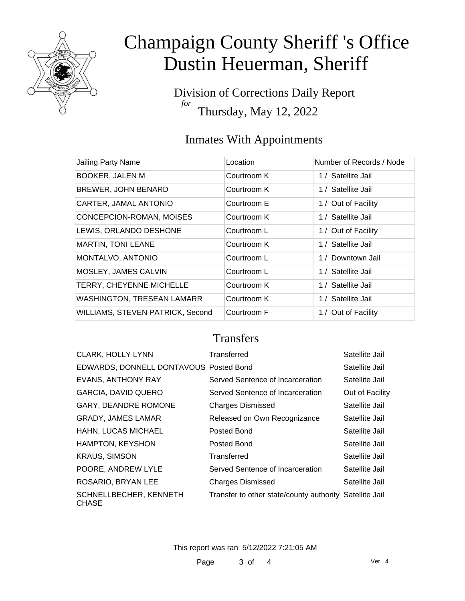

Division of Corrections Daily Report *for* Thursday, May 12, 2022

### Inmates With Appointments

| Jailing Party Name                | Location    | Number of Records / Node |
|-----------------------------------|-------------|--------------------------|
| <b>BOOKER, JALEN M</b>            | Courtroom K | 1 / Satellite Jail       |
| <b>BREWER, JOHN BENARD</b>        | Courtroom K | 1 / Satellite Jail       |
| CARTER, JAMAL ANTONIO             | Courtroom E | 1 / Out of Facility      |
| CONCEPCION-ROMAN, MOISES          | Courtroom K | 1 / Satellite Jail       |
| LEWIS, ORLANDO DESHONE            | Courtroom L | 1 / Out of Facility      |
| <b>MARTIN, TONI LEANE</b>         | Courtroom K | 1 / Satellite Jail       |
| MONTALVO, ANTONIO                 | Courtroom L | 1 / Downtown Jail        |
| MOSLEY, JAMES CALVIN              | Courtroom L | 1 / Satellite Jail       |
| TERRY, CHEYENNE MICHELLE          | Courtroom K | 1 / Satellite Jail       |
| <b>WASHINGTON, TRESEAN LAMARR</b> | Courtroom K | 1 / Satellite Jail       |
| WILLIAMS, STEVEN PATRICK, Second  | Courtroom F | 1 / Out of Facility      |

### **Transfers**

| <b>CLARK, HOLLY LYNN</b>               | Transferred                                             | Satellite Jail  |
|----------------------------------------|---------------------------------------------------------|-----------------|
| EDWARDS, DONNELL DONTAVOUS Posted Bond |                                                         | Satellite Jail  |
| <b>EVANS, ANTHONY RAY</b>              | Served Sentence of Incarceration                        | Satellite Jail  |
| <b>GARCIA, DAVID QUERO</b>             | Served Sentence of Incarceration                        | Out of Facility |
| <b>GARY, DEANDRE ROMONE</b>            | <b>Charges Dismissed</b>                                | Satellite Jail  |
| <b>GRADY, JAMES LAMAR</b>              | Released on Own Recognizance                            | Satellite Jail  |
| HAHN, LUCAS MICHAEL                    | Posted Bond                                             | Satellite Jail  |
| <b>HAMPTON, KEYSHON</b>                | Posted Bond                                             | Satellite Jail  |
| <b>KRAUS, SIMSON</b>                   | Transferred                                             | Satellite Jail  |
| POORE, ANDREW LYLE                     | Served Sentence of Incarceration                        | Satellite Jail  |
| ROSARIO, BRYAN LEE                     | <b>Charges Dismissed</b>                                | Satellite Jail  |
| SCHNELLBECHER, KENNETH<br><b>CHASE</b> | Transfer to other state/county authority Satellite Jail |                 |

This report was ran 5/12/2022 7:21:05 AM